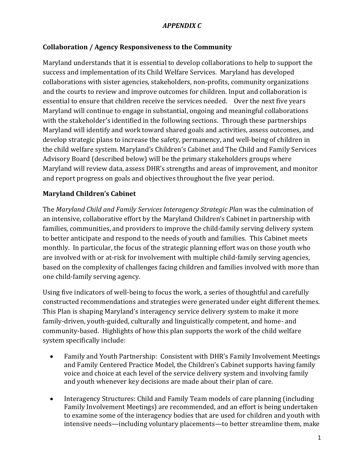### **Collaboration / Agency Responsiveness to the Community**

Maryland understands that it is essential to develop collaborations to help to support the success and implementation of its Child Welfare Services. Maryland has developed collaborations with sister agencies, stakeholders, non-profits, community organizations and the courts to review and improve outcomes for children. Input and collaboration is essential to ensure that children receive the services needed. Over the next five years Maryland will continue to engage in substantial, ongoing and meaningful collaborations with the stakeholder's identified in the following sections. Through these partnerships Maryland will identify and work toward shared goals and activities, assess outcomes, and develop strategic plans to increase the safety, permanency, and well-being of children in the child welfare system. Maryland's Children's Cabinet and The Child and Family Services Advisory Board (described below) will be the primary stakeholders groups where Maryland will review data, assess DHR's strengths and areas of improvement, and monitor and report progress on goals and objectives throughout the five year period.

#### **Maryland Children's Cabinet**

The *Maryland Child and Family Services Interagency Strategic Plan* was the culmination of an intensive, collaborative effort by the Maryland Children's Cabinet in partnership with families, communities, and providers to improve the child-family serving delivery system to better anticipate and respond to the needs of youth and families. This Cabinet meets monthly. In particular, the focus of the strategic planning effort was on those youth who are involved with or at-risk for involvement with multiple child-family serving agencies, based on the complexity of challenges facing children and families involved with more than one child-family serving agency.

Using five indicators of well-being to focus the work, a series of thoughtful and carefully constructed recommendations and strategies were generated under eight different themes. This Plan is shaping Maryland's interagency service delivery system to make it more family-driven, youth-guided, culturally and linguistically competent, and home- and community-based. Highlights of how this plan supports the work of the child welfare system specifically include:

- Family and Youth Partnership: Consistent with DHR's Family Involvement Meetings and Family Centered Practice Model, the Children's Cabinet supports having family voice and choice at each level of the service delivery system and involving family and youth whenever key decisions are made about their plan of care.
- Interagency Structures: Child and Family Team models of care planning (including Family Involvement Meetings) are recommended, and an effort is being undertaken to examine some of the interagency bodies that are used for children and youth with intensive needs—including voluntary placements—to better streamline them, make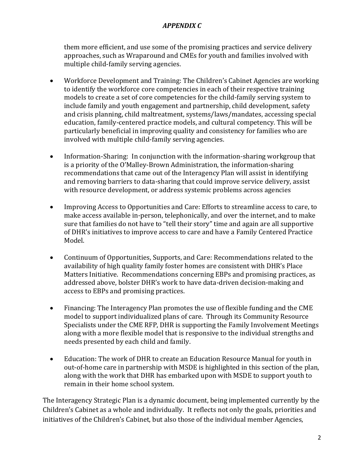them more efficient, and use some of the promising practices and service delivery approaches, such as Wraparound and CMEs for youth and families involved with multiple child-family serving agencies.

- Workforce Development and Training: The Children's Cabinet Agencies are working to identify the workforce core competencies in each of their respective training models to create a set of core competencies for the child-family serving system to include family and youth engagement and partnership, child development, safety and crisis planning, child maltreatment, systems/laws/mandates, accessing special education, family-centered practice models, and cultural competency. This will be particularly beneficial in improving quality and consistency for families who are involved with multiple child-family serving agencies.
- Information-Sharing: In conjunction with the information-sharing workgroup that is a priority of the O'Malley-Brown Administration, the information-sharing recommendations that came out of the Interagency Plan will assist in identifying and removing barriers to data-sharing that could improve service delivery, assist with resource development, or address systemic problems across agencies
- Improving Access to Opportunities and Care: Efforts to streamline access to care, to make access available in-person, telephonically, and over the internet, and to make sure that families do not have to "tell their story" time and again are all supportive of DHR's initiatives to improve access to care and have a Family Centered Practice Model.
- Continuum of Opportunities, Supports, and Care: Recommendations related to the availability of high quality family foster homes are consistent with DHR's Place Matters Initiative. Recommendations concerning EBPs and promising practices, as addressed above, bolster DHR's work to have data-driven decision-making and access to EBPs and promising practices.
- Financing: The Interagency Plan promotes the use of flexible funding and the CME model to support individualized plans of care. Through its Community Resource Specialists under the CME RFP, DHR is supporting the Family Involvement Meetings along with a more flexible model that is responsive to the individual strengths and needs presented by each child and family.
- Education: The work of DHR to create an Education Resource Manual for youth in out-of-home care in partnership with MSDE is highlighted in this section of the plan, along with the work that DHR has embarked upon with MSDE to support youth to remain in their home school system.

The Interagency Strategic Plan is a dynamic document, being implemented currently by the Children's Cabinet as a whole and individually. It reflects not only the goals, priorities and initiatives of the Children's Cabinet, but also those of the individual member Agencies,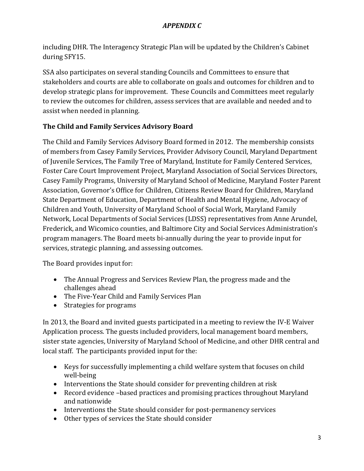including DHR. The Interagency Strategic Plan will be updated by the Children's Cabinet during SFY15.

SSA also participates on several standing Councils and Committees to ensure that stakeholders and courts are able to collaborate on goals and outcomes for children and to develop strategic plans for improvement. These Councils and Committees meet regularly to review the outcomes for children, assess services that are available and needed and to assist when needed in planning.

# **The Child and Family Services Advisory Board**

The Child and Family Services Advisory Board formed in 2012. The membership consists of members from Casey Family Services, Provider Advisory Council, Maryland Department of Juvenile Services, The Family Tree of Maryland, Institute for Family Centered Services, Foster Care Court Improvement Project, Maryland Association of Social Services Directors, Casey Family Programs, University of Maryland School of Medicine, Maryland Foster Parent Association, Governor's Office for Children, Citizens Review Board for Children, Maryland State Department of Education, Department of Health and Mental Hygiene, Advocacy of Children and Youth, University of Maryland School of Social Work, Maryland Family Network, Local Departments of Social Services (LDSS) representatives from Anne Arundel, Frederick, and Wicomico counties, and Baltimore City and Social Services Administration's program managers. The Board meets bi-annually during the year to provide input for services, strategic planning, and assessing outcomes.

The Board provides input for:

- The Annual Progress and Services Review Plan, the progress made and the challenges ahead
- The Five-Year Child and Family Services Plan
- Strategies for programs

In 2013, the Board and invited guests participated in a meeting to review the IV-E Waiver Application process. The guests included providers, local management board members, sister state agencies, University of Maryland School of Medicine, and other DHR central and local staff. The participants provided input for the:

- Keys for successfully implementing a child welfare system that focuses on child well-being
- Interventions the State should consider for preventing children at risk
- Record evidence –based practices and promising practices throughout Maryland and nationwide
- Interventions the State should consider for post-permanency services
- Other types of services the State should consider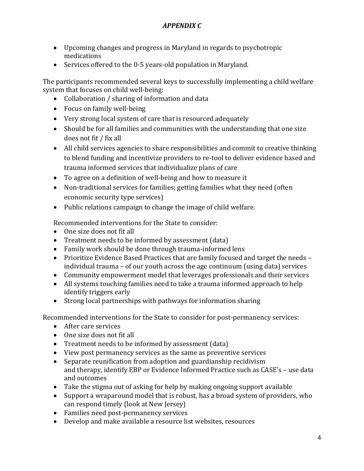- Upcoming changes and progress in Maryland in regards to psychotropic medications
- Services offered to the 0-5 years-old population in Maryland.

The participants recommended several keys to successfully implementing a child welfare system that focuses on child well-being:

- Collaboration / sharing of information and data
- Focus on family well-being
- Very strong local system of care that is resourced adequately
- Should be for all families and communities with the understanding that one size does not fit / fix all
- All child services agencies to share responsibilities and commit to creative thinking to blend funding and incentivize providers to re-tool to deliver evidence based and trauma informed services that individualize plans of care
- To agree on a definition of well-being and how to measure it
- Non-traditional services for families; getting families what they need (often economic security type services)
- Public relations campaign to change the image of child welfare.

Recommended interventions for the State to consider:

- One size does not fit all
- Treatment needs to be informed by assessment (data)
- Family work should be done through trauma-informed lens
- Prioritize Evidence Based Practices that are family focused and target the needs individual trauma – of our youth across the age continuum (using data) services
- Community empowerment model that leverages professionals and their services
- All systems touching families need to take a trauma informed approach to help identify triggers early
- Strong local partnerships with pathways for information sharing

Recommended interventions for the State to consider for post-permanency services:

- After care services
- One size does not fit all
- Treatment needs to be informed by assessment (data)
- View post permanency services as the same as preventive services
- Separate reunification from adoption and guardianship recidivism and therapy, identify EBP or Evidence Informed Practice such as CASE's – use data and outcomes
- Take the stigma out of asking for help by making ongoing support available
- Support a wraparound model that is robust, has a broad system of providers, who can respond timely (look at New Jersey)
- Families need post-permanency services
- Develop and make available a resource list websites, resources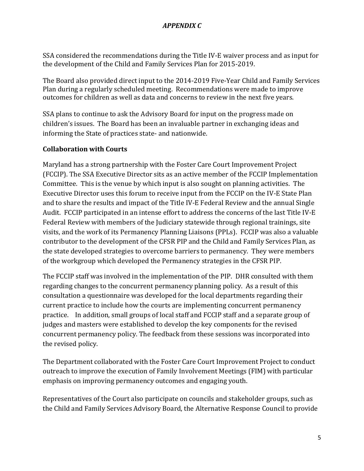SSA considered the recommendations during the Title IV-E waiver process and as input for the development of the Child and Family Services Plan for 2015-2019.

The Board also provided direct input to the 2014-2019 Five-Year Child and Family Services Plan during a regularly scheduled meeting. Recommendations were made to improve outcomes for children as well as data and concerns to review in the next five years.

SSA plans to continue to ask the Advisory Board for input on the progress made on children's issues. The Board has been an invaluable partner in exchanging ideas and informing the State of practices state- and nationwide.

# **Collaboration with Courts**

Maryland has a strong partnership with the Foster Care Court Improvement Project (FCCIP). The SSA Executive Director sits as an active member of the FCCIP Implementation Committee. This is the venue by which input is also sought on planning activities. The Executive Director uses this forum to receive input from the FCCIP on the IV-E State Plan and to share the results and impact of the Title IV-E Federal Review and the annual Single Audit. FCCIP participated in an intense effort to address the concerns of the last Title IV-E Federal Review with members of the Judiciary statewide through regional trainings, site visits, and the work of its Permanency Planning Liaisons (PPLs). FCCIP was also a valuable contributor to the development of the CFSR PIP and the Child and Family Services Plan, as the state developed strategies to overcome barriers to permanency. They were members of the workgroup which developed the Permanency strategies in the CFSR PIP.

The FCCIP staff was involved in the implementation of the PIP. DHR consulted with them regarding changes to the concurrent permanency planning policy. As a result of this consultation a questionnaire was developed for the local departments regarding their current practice to include how the courts are implementing concurrent permanency practice. In addition, small groups of local staff and FCCIP staff and a separate group of judges and masters were established to develop the key components for the revised concurrent permanency policy. The feedback from these sessions was incorporated into the revised policy.

The Department collaborated with the Foster Care Court Improvement Project to conduct outreach to improve the execution of Family Involvement Meetings (FIM) with particular emphasis on improving permanency outcomes and engaging youth.

Representatives of the Court also participate on councils and stakeholder groups, such as the Child and Family Services Advisory Board, the Alternative Response Council to provide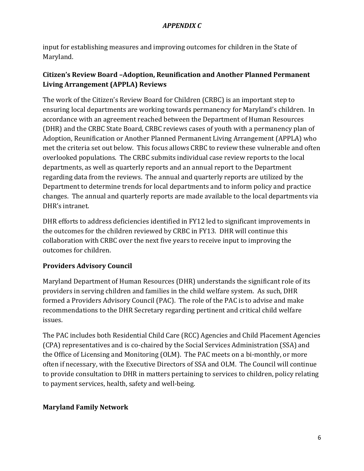input for establishing measures and improving outcomes for children in the State of Maryland.

# **Citizen's Review Board –Adoption, Reunification and Another Planned Permanent Living Arrangement (APPLA) Reviews**

The work of the Citizen's Review Board for Children (CRBC) is an important step to ensuring local departments are working towards permanency for Maryland's children. In accordance with an agreement reached between the Department of Human Resources (DHR) and the CRBC State Board, CRBC reviews cases of youth with a permanency plan of Adoption, Reunification or Another Planned Permanent Living Arrangement (APPLA) who met the criteria set out below. This focus allows CRBC to review these vulnerable and often overlooked populations. The CRBC submits individual case review reports to the local departments, as well as quarterly reports and an annual report to the Department regarding data from the reviews. The annual and quarterly reports are utilized by the Department to determine trends for local departments and to inform policy and practice changes. The annual and quarterly reports are made available to the local departments via DHR's intranet.

DHR efforts to address deficiencies identified in FY12 led to significant improvements in the outcomes for the children reviewed by CRBC in FY13. DHR will continue this collaboration with CRBC over the next five years to receive input to improving the outcomes for children.

# **Providers Advisory Council**

Maryland Department of Human Resources (DHR) understands the significant role of its providers in serving children and families in the child welfare system. As such, DHR formed a Providers Advisory Council (PAC). The role of the PAC is to advise and make recommendations to the DHR Secretary regarding pertinent and critical child welfare issues.

The PAC includes both Residential Child Care (RCC) Agencies and Child Placement Agencies (CPA) representatives and is co-chaired by the Social Services Administration (SSA) and the Office of Licensing and Monitoring (OLM). The PAC meets on a bi-monthly, or more often if necessary, with the Executive Directors of SSA and OLM. The Council will continue to provide consultation to DHR in matters pertaining to services to children, policy relating to payment services, health, safety and well-being.

# **Maryland Family Network**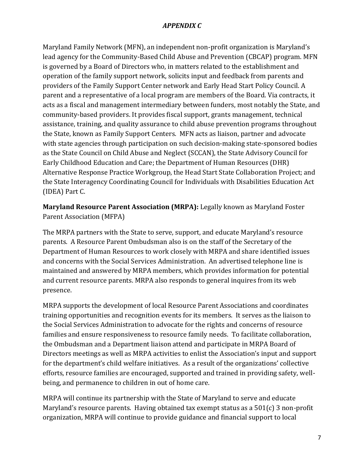Maryland Family Network (MFN), an independent non-profit organization is Maryland's lead agency for the Community-Based Child Abuse and Prevention (CBCAP) program. MFN is governed by a Board of Directors who, in matters related to the establishment and operation of the family support network, solicits input and feedback from parents and providers of the Family Support Center network and Early Head Start Policy Council. A parent and a representative of a local program are members of the Board. Via contracts, it acts as a fiscal and management intermediary between funders, most notably the State, and community-based providers. It provides fiscal support, grants management, technical assistance, training, and quality assurance to child abuse prevention programs throughout the State, known as Family Support Centers. MFN acts as liaison, partner and advocate with state agencies through participation on such decision-making state-sponsored bodies as the State Council on Child Abuse and Neglect (SCCAN), the State Advisory Council for Early Childhood Education and Care; the Department of Human Resources (DHR) Alternative Response Practice Workgroup, the Head Start State Collaboration Project; and the State Interagency Coordinating Council for Individuals with Disabilities Education Act (IDEA) Part C.

**Maryland Resource Parent Association (MRPA):** Legally known as Maryland Foster Parent Association (MFPA)

The MRPA partners with the State to serve, support, and educate Maryland's resource parents. A Resource Parent Ombudsman also is on the staff of the Secretary of the Department of Human Resources to work closely with MRPA and share identified issues and concerns with the Social Services Administration. An advertised telephone line is maintained and answered by MRPA members, which provides information for potential and current resource parents. MRPA also responds to general inquires from its web presence.

MRPA supports the development of local Resource Parent Associations and coordinates training opportunities and recognition events for its members. It serves as the liaison to the Social Services Administration to advocate for the rights and concerns of resource families and ensure responsiveness to resource family needs. To facilitate collaboration, the Ombudsman and a Department liaison attend and participate in MRPA Board of Directors meetings as well as MRPA activities to enlist the Association's input and support for the department's child welfare initiatives. As a result of the organizations' collective efforts, resource families are encouraged, supported and trained in providing safety, wellbeing, and permanence to children in out of home care.

MRPA will continue its partnership with the State of Maryland to serve and educate Maryland's resource parents. Having obtained tax exempt status as a 501(c) 3 non-profit organization, MRPA will continue to provide guidance and financial support to local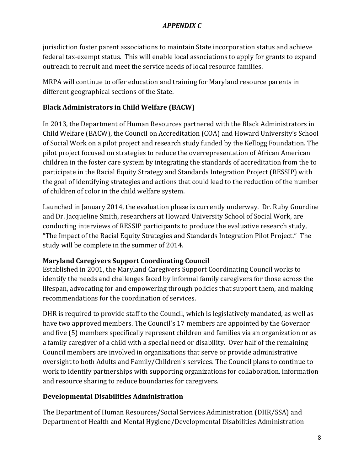jurisdiction foster parent associations to maintain State incorporation status and achieve federal tax-exempt status. This will enable local associations to apply for grants to expand outreach to recruit and meet the service needs of local resource families.

MRPA will continue to offer education and training for Maryland resource parents in different geographical sections of the State.

# **Black Administrators in Child Welfare (BACW)**

In 2013, the Department of Human Resources partnered with the Black Administrators in Child Welfare (BACW), the Council on Accreditation (COA) and Howard University's School of Social Work on a pilot project and research study funded by the Kellogg Foundation. The pilot project focused on strategies to reduce the overrepresentation of African American children in the foster care system by integrating the standards of accreditation from the to participate in the Racial Equity Strategy and Standards Integration Project (RESSIP) with the goal of identifying strategies and actions that could lead to the reduction of the number of children of color in the child welfare system.

Launched in January 2014, the evaluation phase is currently underway. Dr. Ruby Gourdine and Dr. Jacqueline Smith, researchers at Howard University School of Social Work, are conducting interviews of RESSIP participants to produce the evaluative research study, "The Impact of the Racial Equity Strategies and Standards Integration Pilot Project." The study will be complete in the summer of 2014.

#### **Maryland Caregivers Support Coordinating Council**

Established in 2001, the Maryland Caregivers Support Coordinating Council works to identify the needs and challenges faced by informal family caregivers for those across the lifespan, advocating for and empowering through policies that support them, and making recommendations for the coordination of services.

DHR is required to provide staff to the Council, which is legislatively mandated, as well as have two approved members. The Council's 17 members are appointed by the Governor and five (5) members specifically represent children and families via an organization or as a family caregiver of a child with a special need or disability. Over half of the remaining Council members are involved in organizations that serve or provide administrative oversight to both Adults and Family/Children's services. The Council plans to continue to work to identify partnerships with supporting organizations for collaboration, information and resource sharing to reduce boundaries for caregivers.

#### **Developmental Disabilities Administration**

The Department of Human Resources/Social Services Administration (DHR/SSA) and Department of Health and Mental Hygiene/Developmental Disabilities Administration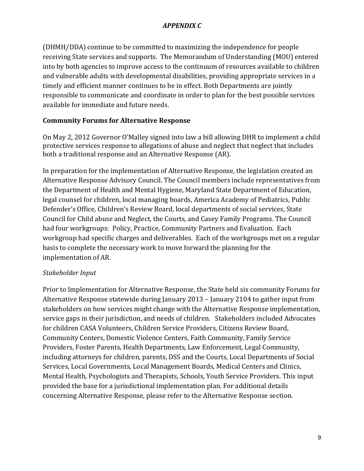(DHMH/DDA) continue to be committed to maximizing the independence for people receiving State services and supports. The Memorandum of Understanding (MOU) entered into by both agencies to improve access to the continuum of resources available to children and vulnerable adults with developmental disabilities, providing appropriate services in a timely and efficient manner continues to be in effect. Both Departments are jointly responsible to communicate and coordinate in order to plan for the best possible services available for immediate and future needs.

#### **Community Forums for Alternative Response**

On May 2, 2012 Governor O'Malley signed into law a bill allowing DHR to implement a child protective services response to allegations of abuse and neglect that neglect that includes both a traditional response and an Alternative Response (AR).

In preparation for the implementation of Alternative Response, the legislation created an Alternative Response Advisory Council. The Council members include representatives from the Department of Health and Mental Hygiene, Maryland State Department of Education, legal counsel for children, local managing boards, America Academy of Pediatrics, Public Defender's Office, Children's Review Board, local departments of social services, State Council for Child abuse and Neglect, the Courts, and Casey Family Programs. The Council had four workgroups: Policy, Practice, Community Partners and Evaluation. Each workgroup had specific charges and deliverables. Each of the workgroups met on a regular basis to complete the necessary work to move forward the planning for the implementation of AR.

#### *Stakeholder Input*

Prior to Implementation for Alternative Response, the State held six community Forums for Alternative Response statewide during January 2013 – January 2104 to gather input from stakeholders on how services might change with the Alternative Response implementation, service gaps in their jurisdiction, and needs of children. Stakeholders included Advocates for children CASA Volunteers, Children Service Providers, Citizens Review Board, Community Centers, Domestic Violence Centers, Faith Community, Family Service Providers, Foster Parents, Health Departments, Law Enforcement, Legal Community, including attorneys for children, parents, DSS and the Courts, Local Departments of Social Services, Local Governments, Local Management Boards, Medical Centers and Clinics, Mental Health, Psychologists and Therapists, Schools, Youth Service Providers. This input provided the base for a jurisdictional implementation plan. For additional details concerning Alternative Response, please refer to the Alternative Response section.